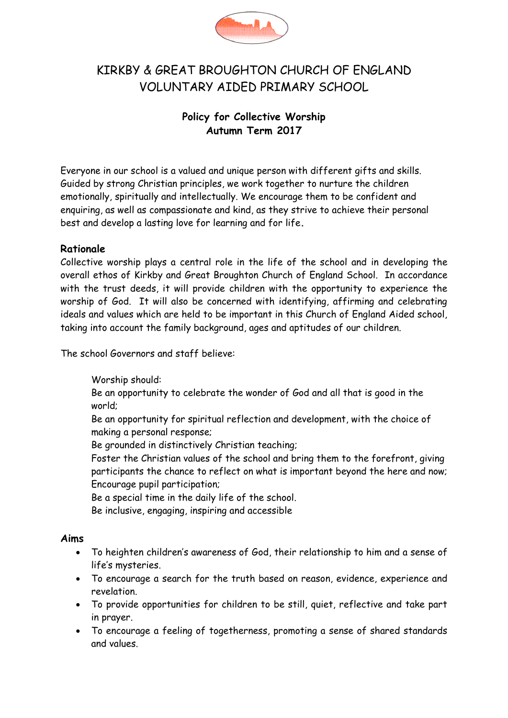

# KIRKBY & GREAT BROUGHTON CHURCH OF ENGLAND VOLUNTARY AIDED PRIMARY SCHOOL

# **Policy for Collective Worship Autumn Term 2017**

Everyone in our school is a valued and unique person with different gifts and skills. Guided by strong Christian principles, we work together to nurture the children emotionally, spiritually and intellectually. We encourage them to be confident and enquiring, as well as compassionate and kind, as they strive to achieve their personal best and develop a lasting love for learning and for life**.**

### **Rationale**

Collective worship plays a central role in the life of the school and in developing the overall ethos of Kirkby and Great Broughton Church of England School. In accordance with the trust deeds, it will provide children with the opportunity to experience the worship of God. It will also be concerned with identifying, affirming and celebrating ideals and values which are held to be important in this Church of England Aided school, taking into account the family background, ages and aptitudes of our children.

The school Governors and staff believe:

Worship should:

Be an opportunity to celebrate the wonder of God and all that is good in the world;

Be an opportunity for spiritual reflection and development, with the choice of making a personal response;

Be grounded in distinctively Christian teaching;

Foster the Christian values of the school and bring them to the forefront, giving participants the chance to reflect on what is important beyond the here and now; Encourage pupil participation;

Be a special time in the daily life of the school.

Be inclusive, engaging, inspiring and accessible

#### **Aims**

- To heighten children's awareness of God, their relationship to him and a sense of life's mysteries.
- To encourage a search for the truth based on reason, evidence, experience and revelation.
- To provide opportunities for children to be still, quiet, reflective and take part in prayer.
- To encourage a feeling of togetherness, promoting a sense of shared standards and values.